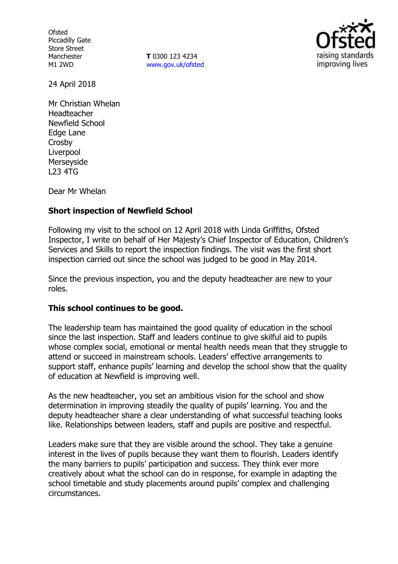**Ofsted** Piccadilly Gate Store Street Manchester M1 2WD

**T** 0300 123 4234 [www.gov.uk/ofsted](http://www.gov.uk/ofsted)



24 April 2018

Mr Christian Whelan Headteacher Newfield School Edge Lane Crosby Liverpool **Merseyside** L23 4TG

Dear Mr Whelan

## **Short inspection of Newfield School**

Following my visit to the school on 12 April 2018 with Linda Griffiths, Ofsted Inspector, I write on behalf of Her Majesty's Chief Inspector of Education, Children's Services and Skills to report the inspection findings. The visit was the first short inspection carried out since the school was judged to be good in May 2014.

Since the previous inspection, you and the deputy headteacher are new to your roles.

#### **This school continues to be good.**

The leadership team has maintained the good quality of education in the school since the last inspection. Staff and leaders continue to give skilful aid to pupils whose complex social, emotional or mental health needs mean that they struggle to attend or succeed in mainstream schools. Leaders' effective arrangements to support staff, enhance pupils' learning and develop the school show that the quality of education at Newfield is improving well.

As the new headteacher, you set an ambitious vision for the school and show determination in improving steadily the quality of pupils' learning. You and the deputy headteacher share a clear understanding of what successful teaching looks like. Relationships between leaders, staff and pupils are positive and respectful.

Leaders make sure that they are visible around the school. They take a genuine interest in the lives of pupils because they want them to flourish. Leaders identify the many barriers to pupils' participation and success. They think ever more creatively about what the school can do in response, for example in adapting the school timetable and study placements around pupils' complex and challenging circumstances.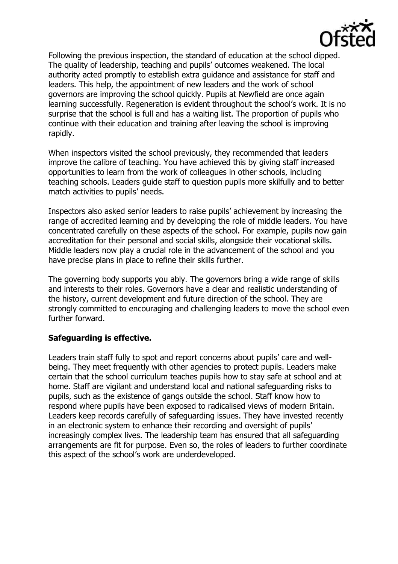

Following the previous inspection, the standard of education at the school dipped. The quality of leadership, teaching and pupils' outcomes weakened. The local authority acted promptly to establish extra guidance and assistance for staff and leaders. This help, the appointment of new leaders and the work of school governors are improving the school quickly. Pupils at Newfield are once again learning successfully. Regeneration is evident throughout the school's work. It is no surprise that the school is full and has a waiting list. The proportion of pupils who continue with their education and training after leaving the school is improving rapidly.

When inspectors visited the school previously, they recommended that leaders improve the calibre of teaching. You have achieved this by giving staff increased opportunities to learn from the work of colleagues in other schools, including teaching schools. Leaders guide staff to question pupils more skilfully and to better match activities to pupils' needs.

Inspectors also asked senior leaders to raise pupils' achievement by increasing the range of accredited learning and by developing the role of middle leaders. You have concentrated carefully on these aspects of the school. For example, pupils now gain accreditation for their personal and social skills, alongside their vocational skills. Middle leaders now play a crucial role in the advancement of the school and you have precise plans in place to refine their skills further.

The governing body supports you ably. The governors bring a wide range of skills and interests to their roles. Governors have a clear and realistic understanding of the history, current development and future direction of the school. They are strongly committed to encouraging and challenging leaders to move the school even further forward.

## **Safeguarding is effective.**

Leaders train staff fully to spot and report concerns about pupils' care and wellbeing. They meet frequently with other agencies to protect pupils. Leaders make certain that the school curriculum teaches pupils how to stay safe at school and at home. Staff are vigilant and understand local and national safeguarding risks to pupils, such as the existence of gangs outside the school. Staff know how to respond where pupils have been exposed to radicalised views of modern Britain. Leaders keep records carefully of safeguarding issues. They have invested recently in an electronic system to enhance their recording and oversight of pupils' increasingly complex lives. The leadership team has ensured that all safeguarding arrangements are fit for purpose. Even so, the roles of leaders to further coordinate this aspect of the school's work are underdeveloped.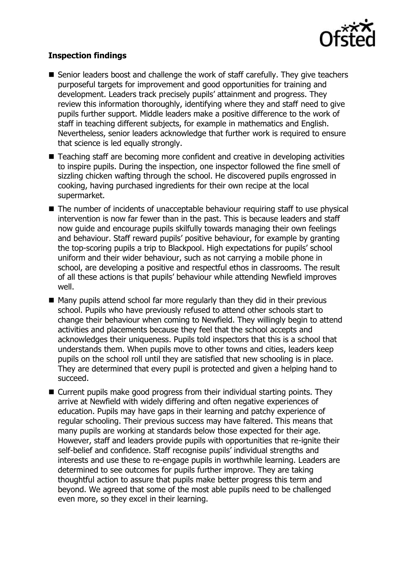

# **Inspection findings**

- Senior leaders boost and challenge the work of staff carefully. They give teachers purposeful targets for improvement and good opportunities for training and development. Leaders track precisely pupils' attainment and progress. They review this information thoroughly, identifying where they and staff need to give pupils further support. Middle leaders make a positive difference to the work of staff in teaching different subjects, for example in mathematics and English. Nevertheless, senior leaders acknowledge that further work is required to ensure that science is led equally strongly.
- Teaching staff are becoming more confident and creative in developing activities to inspire pupils. During the inspection, one inspector followed the fine smell of sizzling chicken wafting through the school. He discovered pupils engrossed in cooking, having purchased ingredients for their own recipe at the local supermarket.
- The number of incidents of unacceptable behaviour requiring staff to use physical intervention is now far fewer than in the past. This is because leaders and staff now guide and encourage pupils skilfully towards managing their own feelings and behaviour. Staff reward pupils' positive behaviour, for example by granting the top-scoring pupils a trip to Blackpool. High expectations for pupils' school uniform and their wider behaviour, such as not carrying a mobile phone in school, are developing a positive and respectful ethos in classrooms. The result of all these actions is that pupils' behaviour while attending Newfield improves well.
- $\blacksquare$  Many pupils attend school far more regularly than they did in their previous school. Pupils who have previously refused to attend other schools start to change their behaviour when coming to Newfield. They willingly begin to attend activities and placements because they feel that the school accepts and acknowledges their uniqueness. Pupils told inspectors that this is a school that understands them. When pupils move to other towns and cities, leaders keep pupils on the school roll until they are satisfied that new schooling is in place. They are determined that every pupil is protected and given a helping hand to succeed.
- Current pupils make good progress from their individual starting points. They arrive at Newfield with widely differing and often negative experiences of education. Pupils may have gaps in their learning and patchy experience of regular schooling. Their previous success may have faltered. This means that many pupils are working at standards below those expected for their age. However, staff and leaders provide pupils with opportunities that re-ignite their self-belief and confidence. Staff recognise pupils' individual strengths and interests and use these to re-engage pupils in worthwhile learning. Leaders are determined to see outcomes for pupils further improve. They are taking thoughtful action to assure that pupils make better progress this term and beyond. We agreed that some of the most able pupils need to be challenged even more, so they excel in their learning.